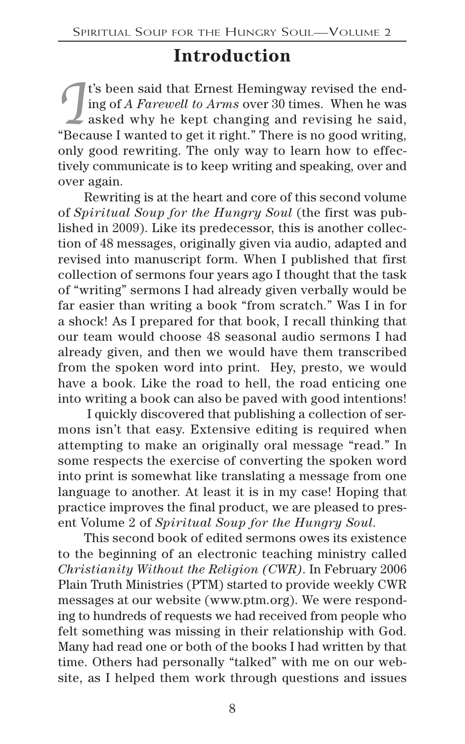## **Introduction**

I's been said that Ernest Hemingway revised the ending of *A Farewell to Arms* over 30 times. When he was asked why he kept changing and revising he said, t's been said that Ernest Hemingway revised the ending of *A Farewell to Arms* over 30 times. When he was "Because I wanted to get it right." There is no good writing, only good rewriting. The only way to learn how to effectively communicate is to keep writing and speaking, over and over again.

Rewriting is at the heart and core of this second volume of *Spiritual Soup for the Hungry Soul* (the first was published in 2009). Like its predecessor, this is another collection of 48 messages, originally given via audio, adapted and revised into manuscript form. When I published that first collection of sermons four years ago I thought that the task of "writing" sermons I had already given verbally would be far easier than writing a book "from scratch." Was I in for a shock! As I prepared for that book, I recall thinking that our team would choose 48 seasonal audio sermons I had already given, and then we would have them transcribed from the spoken word into print. Hey, presto, we would have a book. Like the road to hell, the road enticing one into writing a book can also be paved with good intentions!

I quickly discovered that publishing a collection of sermons isn't that easy. Extensive editing is required when attempting to make an originally oral message "read." In some respects the exercise of converting the spoken word into print is somewhat like translating a message from one language to another. At least it is in my case! Hoping that practice improves the final product, we are pleased to present Volume 2 of *Spiritual Soup for the Hungry Soul*.

This second book of edited sermons owes its existence to the beginning of an electronic teaching ministry called *Christianity Without the Religion (CWR)*. In February 2006 Plain Truth Ministries (PTM) started to provide weekly CWR messages at our website (www.ptm.org). We were responding to hundreds of requests we had received from people who felt something was missing in their relationship with God. Many had read one or both of the books I had written by that time. Others had personally "talked" with me on our website, as I helped them work through questions and issues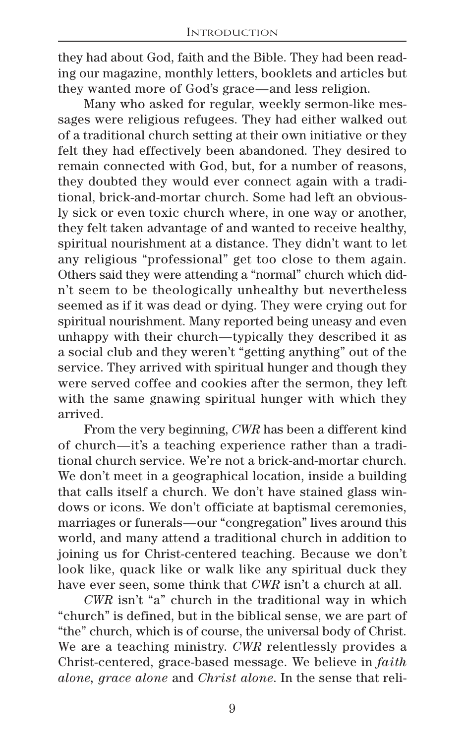they had about God, faith and the Bible. They had been reading our magazine, monthly letters, booklets and articles but they wanted more of God's grace—and less religion.

Many who asked for regular, weekly sermon-like messages were religious refugees. They had either walked out of a traditional church setting at their own initiative or they felt they had effectively been abandoned. They desired to remain connected with God, but, for a number of reasons, they doubted they would ever connect again with a traditional, brick-and-mortar church. Some had left an obviously sick or even toxic church where, in one way or another, they felt taken advantage of and wanted to receive healthy, spiritual nourishment at a distance. They didn't want to let any religious "professional" get too close to them again. Others said they were attending a "normal" church which didn't seem to be theologically unhealthy but nevertheless seemed as if it was dead or dying. They were crying out for spiritual nourishment. Many reported being uneasy and even unhappy with their church—typically they described it as a social club and they weren't "getting anything" out of the service. They arrived with spiritual hunger and though they were served coffee and cookies after the sermon, they left with the same gnawing spiritual hunger with which they arrived.

From the very beginning, *CWR* has been a different kind of church—it's a teaching experience rather than a traditional church service. We're not a brick-and-mortar church. We don't meet in a geographical location, inside a building that calls itself a church. We don't have stained glass windows or icons. We don't officiate at baptismal ceremonies, marriages or funerals—our "congregation" lives around this world, and many attend a traditional church in addition to joining us for Christ-centered teaching. Because we don't look like, quack like or walk like any spiritual duck they have ever seen, some think that *CWR* isn't a church at all.

*CWR* isn't "a" church in the traditional way in which "church" is defined, but in the biblical sense, we are part of "the" church, which is of course, the universal body of Christ. We are a teaching ministry. *CWR* relentlessly provides a Christ-centered, grace-based message. We believe in *faith alone, grace alone* and *Christ alone*. In the sense that reli-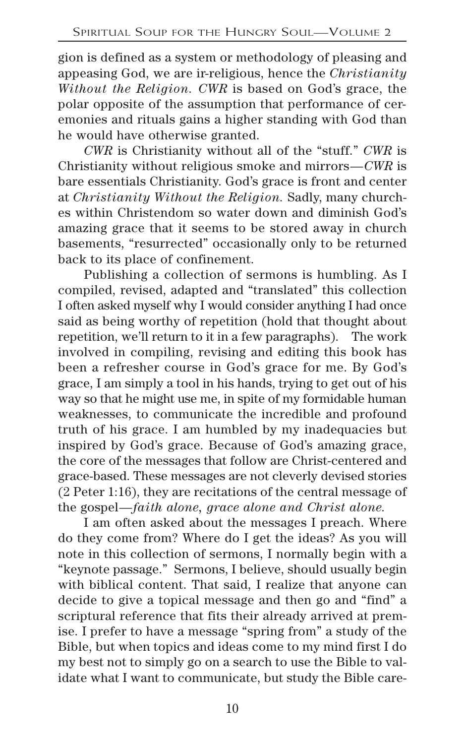gion is defined as a system or methodology of pleasing and appeasing God, we are ir-religious, hence the *Christianity Without the Religion. CWR* is based on God's grace, the polar opposite of the assumption that performance of ceremonies and rituals gains a higher standing with God than he would have otherwise granted.

*CWR* is Christianity without all of the "stuff." *CWR* is Christianity without religious smoke and mirrors—*CWR* is bare essentials Christianity. God's grace is front and center at *Christianity Without the Religion.* Sadly, many churches within Christendom so water down and diminish God's amazing grace that it seems to be stored away in church basements, "resurrected" occasionally only to be returned back to its place of confinement.

Publishing a collection of sermons is humbling. As I compiled, revised, adapted and "translated" this collection I often asked myself why I would consider anything I had once said as being worthy of repetition (hold that thought about repetition, we'll return to it in a few paragraphs). The work involved in compiling, revising and editing this book has been a refresher course in God's grace for me. By God's grace, I am simply a tool in his hands, trying to get out of his way so that he might use me, in spite of my formidable human weaknesses, to communicate the incredible and profound truth of his grace. I am humbled by my inadequacies but inspired by God's grace. Because of God's amazing grace, the core of the messages that follow are Christ-centered and grace-based. These messages are not cleverly devised stories (2 Peter 1:16), they are recitations of the central message of the gospel—*faith alone, grace alone and Christ alone.*

I am often asked about the messages I preach. Where do they come from? Where do I get the ideas? As you will note in this collection of sermons, I normally begin with a "keynote passage." Sermons, I believe, should usually begin with biblical content. That said, I realize that anyone can decide to give a topical message and then go and "find" a scriptural reference that fits their already arrived at premise. I prefer to have a message "spring from" a study of the Bible, but when topics and ideas come to my mind first I do my best not to simply go on a search to use the Bible to validate what I want to communicate, but study the Bible care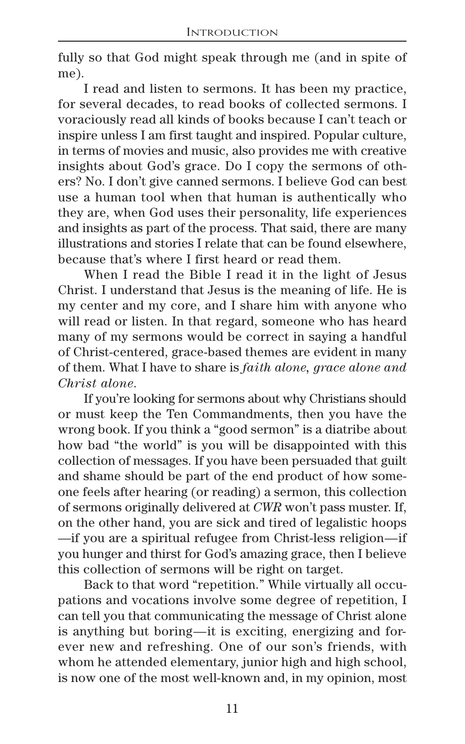fully so that God might speak through me (and in spite of me).

I read and listen to sermons. It has been my practice, for several decades, to read books of collected sermons. I voraciously read all kinds of books because I can't teach or inspire unless I am first taught and inspired. Popular culture, in terms of movies and music, also provides me with creative insights about God's grace. Do I copy the sermons of others? No. I don't give canned sermons. I believe God can best use a human tool when that human is authentically who they are, when God uses their personality, life experiences and insights as part of the process. That said, there are many illustrations and stories I relate that can be found elsewhere, because that's where I first heard or read them.

When I read the Bible I read it in the light of Jesus Christ. I understand that Jesus is the meaning of life. He is my center and my core, and I share him with anyone who will read or listen. In that regard, someone who has heard many of my sermons would be correct in saying a handful of Christ-centered, grace-based themes are evident in many of them. What I have to share is *faith alone, grace alone and Christ alone*.

If you're looking for sermons about why Christians should or must keep the Ten Commandments, then you have the wrong book. If you think a "good sermon" is a diatribe about how bad "the world" is you will be disappointed with this collection of messages. If you have been persuaded that guilt and shame should be part of the end product of how someone feels after hearing (or reading) a sermon, this collection of sermons originally delivered at *CWR* won't pass muster. If, on the other hand, you are sick and tired of legalistic hoops —if you are a spiritual refugee from Christ-less religion—if you hunger and thirst for God's amazing grace, then I believe this collection of sermons will be right on target.

Back to that word "repetition." While virtually all occupations and vocations involve some degree of repetition, I can tell you that communicating the message of Christ alone is anything but boring—it is exciting, energizing and forever new and refreshing. One of our son's friends, with whom he attended elementary, junior high and high school, is now one of the most well-known and, in my opinion, most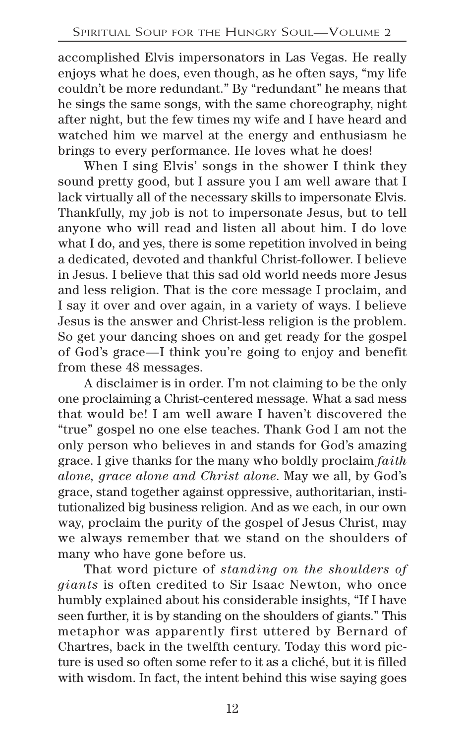accomplished Elvis impersonators in Las Vegas. He really enjoys what he does, even though, as he often says, "my life couldn't be more redundant." By "redundant" he means that he sings the same songs, with the same choreography, night after night, but the few times my wife and I have heard and watched him we marvel at the energy and enthusiasm he brings to every performance. He loves what he does!

When I sing Elvis' songs in the shower I think they sound pretty good, but I assure you I am well aware that I lack virtually all of the necessary skills to impersonate Elvis. Thankfully, my job is not to impersonate Jesus, but to tell anyone who will read and listen all about him. I do love what I do, and yes, there is some repetition involved in being a dedicated, devoted and thankful Christ-follower. I believe in Jesus. I believe that this sad old world needs more Jesus and less religion. That is the core message I proclaim, and I say it over and over again, in a variety of ways. I believe Jesus is the answer and Christ-less religion is the problem. So get your dancing shoes on and get ready for the gospel of God's grace—I think you're going to enjoy and benefit from these 48 messages.

A disclaimer is in order. I'm not claiming to be the only one proclaiming a Christ-centered message. What a sad mess that would be! I am well aware I haven't discovered the "true" gospel no one else teaches. Thank God I am not the only person who believes in and stands for God's amazing grace. I give thanks for the many who boldly proclaim *faith alone, grace alone and Christ alone*. May we all, by God's grace, stand together against oppressive, authoritarian, institutionalized big business religion. And as we each, in our own way, proclaim the purity of the gospel of Jesus Christ, may we always remember that we stand on the shoulders of many who have gone before us.

That word picture of *standing on the shoulders of giants* is often credited to Sir Isaac Newton, who once humbly explained about his considerable insights, "If I have seen further, it is by standing on the shoulders of giants." This metaphor was apparently first uttered by Bernard of Chartres, back in the twelfth century. Today this word picture is used so often some refer to it as a cliché, but it is filled with wisdom. In fact, the intent behind this wise saying goes